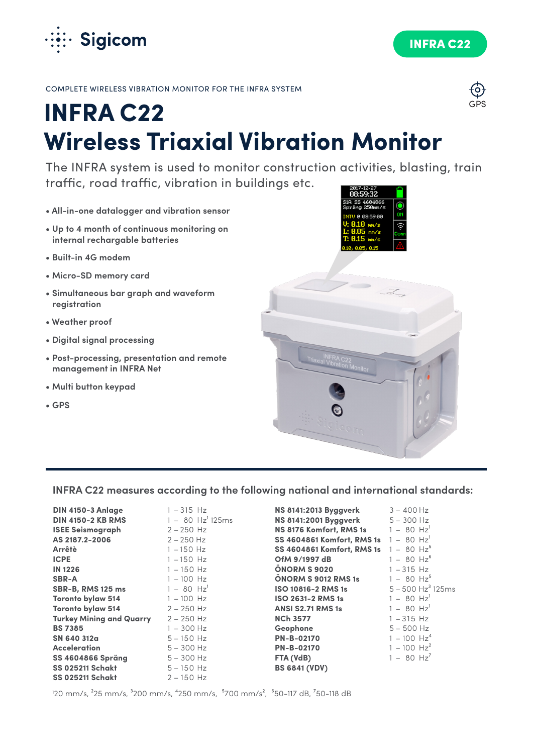

GPS

COMPLETE WIRELESS VIBRATION MONITOR FOR THE INFRA SYSTEM

# **INFRA C22 Wireless Triaxial Vibration Monitor**

The INFRA system is used to monitor construction activities, blasting, train traffic, road traffic, vibration in buildings etc.

- **All-in-one datalogger and vibration sensor**
- **Up to 4 month of continuous monitoring on internal rechargable batteries**
- **Built-in 4G modem**
- **Micro-SD memory card**
- **Simultaneous bar graph and waveform registration**
- **Weather proof**
- **Digital signal processing**
- **Post-processing, presentation and remote management in INFRA Net**
- **Multi button keypad**
- **GPS**



# **INFRA C22 measures according to the following national and international standards:**

| <b>DIN 4150-3 Anlage</b>        | $1 - 315$ Hz                   | <b>NS 8141:2013 Byggverk</b>                        | $3 - 400$ Hz                    |
|---------------------------------|--------------------------------|-----------------------------------------------------|---------------------------------|
| <b>DIN 4150-2 KB RMS</b>        | $1 - 80$ Hz <sup>1</sup> 125ms | <b>NS 8141:2001 Byggverk</b>                        | $5 - 300$ Hz                    |
| <b>ISEE Seismograph</b>         | $2 - 250$ Hz                   | <b>NS 8176 Komfort, RMS 1s</b>                      | $1 - 80$ Hz <sup>1</sup>        |
| AS 2187.2-2006                  | $2 - 250$ Hz                   | SS 4604861 Komfort, RMS 1s $1 - 80$ Hz <sup>1</sup> |                                 |
| Arrêtè                          | $1 - 150$ Hz                   | SS 4604861 Komfort, RMS 1s $1 - 80$ Hz <sup>5</sup> |                                 |
| <b>ICPE</b>                     | $1 - 150$ Hz                   | OfM 9/1997 dB                                       | $1 - 80$ $Hz^6$                 |
| <b>IN 1226</b>                  | $1 - 150$ Hz                   | ONORM S 9020                                        | $1 - 315$ Hz                    |
| <b>SBR-A</b>                    | $1 - 100$ Hz                   | ONORM S 9012 RMS 1s                                 | $1 - 80$ Hz <sup>5</sup>        |
| <b>SBR-B, RMS 125 ms</b>        | $1 - 80$ Hz <sup>1</sup>       | ISO 10816-2 RMS 1s                                  | $5 - 500$ Hz <sup>3</sup> 125ms |
| <b>Toronto bylaw 514</b>        | $1 - 100$ Hz                   | <b>ISO 2631-2 RMS 1s</b>                            | $1 - 80$ Hz <sup>1</sup>        |
| <b>Toronto bylaw 514</b>        | $2 - 250$ Hz                   | ANSI S2.71 RMS 1s                                   | $1 - 80$ Hz <sup>1</sup>        |
| <b>Turkey Mining and Quarry</b> | $2 - 250$ Hz                   | <b>NCh 3577</b>                                     | $1 - 315$ Hz                    |
| <b>BS 7385</b>                  | $1 - 300$ Hz                   | Geophone                                            | $5 - 500$ Hz                    |
| SN 640 312a                     | $5 - 150$ Hz                   | <b>PN-B-02170</b>                                   | $1 - 100 Hz4$                   |
| <b>Acceleration</b>             | $5 - 300$ Hz                   | <b>PN-B-02170</b>                                   | $1 - 100$ Hz <sup>2</sup>       |
| <b>SS 4604866 Spräng</b>        | $5 - 300$ Hz                   | FTA (VdB)                                           | $1 - 80$ Hz <sup>7</sup>        |
| <b>SS 025211 Schakt</b>         | $5 - 150$ Hz                   | <b>BS 6841 (VDV)</b>                                |                                 |
| <b>SS 025211 Schakt</b>         | $2 - 150$ Hz                   |                                                     |                                 |

'20 mm/s, <sup>2</sup>25 mm/s, <sup>3</sup>200 mm/s, <sup>4</sup>250 mm/s, <sup>5</sup>700 mm/s<sup>2</sup>, <sup>6</sup>50-117 dB, <sup>7</sup>50-118 dB